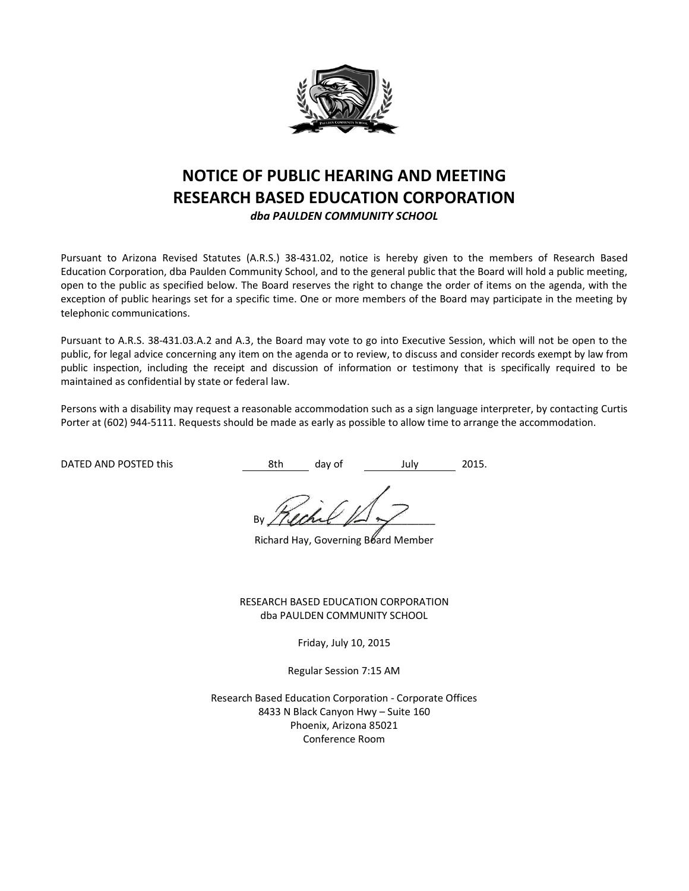

# **NOTICE OF PUBLIC HEARING AND MEETING RESEARCH BASED EDUCATION CORPORATION**

*dba PAULDEN COMMUNITY SCHOOL*

Pursuant to Arizona Revised Statutes (A.R.S.) 38-431.02, notice is hereby given to the members of Research Based Education Corporation, dba Paulden Community School, and to the general public that the Board will hold a public meeting, open to the public as specified below. The Board reserves the right to change the order of items on the agenda, with the exception of public hearings set for a specific time. One or more members of the Board may participate in the meeting by telephonic communications.

Pursuant to A.R.S. 38-431.03.A.2 and A.3, the Board may vote to go into Executive Session, which will not be open to the public, for legal advice concerning any item on the agenda or to review, to discuss and consider records exempt by law from public inspection, including the receipt and discussion of information or testimony that is specifically required to be maintained as confidential by state or federal law.

Persons with a disability may request a reasonable accommodation such as a sign language interpreter, by contacting Curtis Porter at (602) 944-5111. Requests should be made as early as possible to allow time to arrange the accommodation.

DATED AND POSTED this **8th** day of July 2015.

By / (land  $\mathbb{R}$ 

Richard Hay, Governing Board Member

RESEARCH BASED EDUCATION CORPORATION dba PAULDEN COMMUNITY SCHOOL

Friday, July 10, 2015

Regular Session 7:15 AM

Research Based Education Corporation - Corporate Offices 8433 N Black Canyon Hwy – Suite 160 Phoenix, Arizona 85021 Conference Room